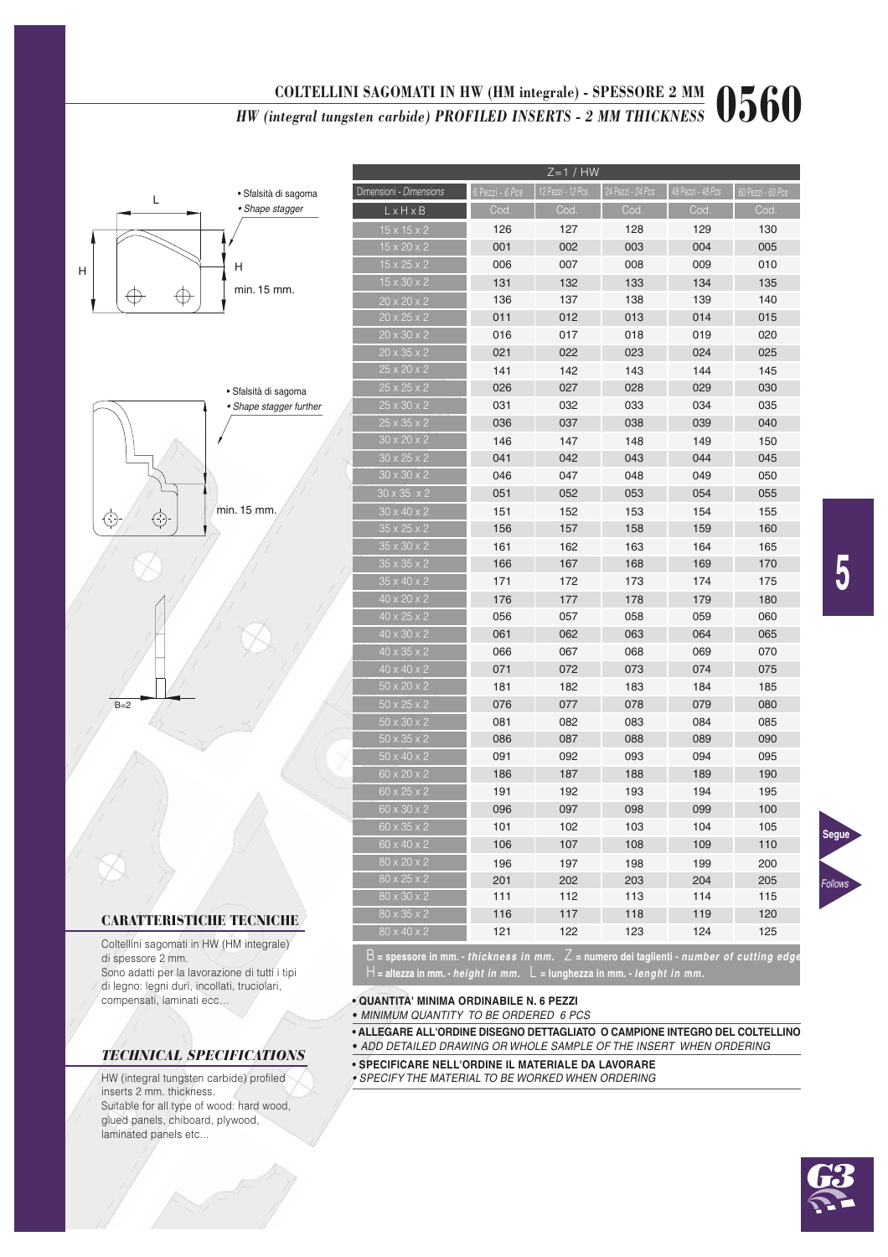# COLTELLINI SAGOMATI IN HW (HM integrale) - SPESSORE 2 MM<br>*HW (integral tungsten carbide) PROFILED INSERTS - 2 MM THICKNESS*  $0560$

 $Z=1$  / HW

15 x 20 x 2 001 002 003 004 005  $15 \times 25 \times 2$  006 007 008 009 010

15 x 15 x 2 126 127 128 129 130

imensioni - Dimensions  $L \times H \times B$ 



| $15 \times 30 \times 2$ | 131 | 132 | 133 | 134 | 135 |
|-------------------------|-----|-----|-----|-----|-----|
| $20 \times 20 \times 2$ | 136 | 137 | 138 | 139 | 140 |
| $20 \times 25 \times 2$ | 011 | 012 | 013 | 014 | 015 |
| $20 \times 30 \times 2$ | 016 | 017 | 018 | 019 | 020 |
| $20 \times 35 \times 2$ | 021 | 022 | 023 | 024 | 025 |
| $25 \times 20 \times 2$ | 141 | 142 | 143 | 144 | 145 |
| $25 \times 25 \times 2$ | 026 | 027 | 028 | 029 | 030 |
| $25 \times 30 \times 2$ | 031 | 032 | 033 | 034 | 035 |
| $25 \times 35 \times 2$ | 036 | 037 | 038 | 039 | 040 |
| $30 \times 20 \times 2$ | 146 | 147 | 148 | 149 | 150 |
| $30 \times 25 \times 2$ | 041 | 042 | 043 | 044 | 045 |
| $30 \times 30 \times 2$ | 046 | 047 | 048 | 049 | 050 |
| $30 \times 35 \times 2$ | 051 | 052 | 053 | 054 | 055 |
| $30 \times 40 \times 2$ | 151 | 152 | 153 | 154 | 155 |
| $35 \times 25 \times 2$ | 156 | 157 | 158 | 159 | 160 |
| $35 \times 30 \times 2$ | 161 | 162 | 163 | 164 | 165 |
| $35 \times 35 \times 2$ | 166 | 167 | 168 | 169 | 170 |
| $35 \times 40 \times 2$ | 171 | 172 | 173 | 174 | 175 |
| $40 \times 20 \times 2$ | 176 | 177 | 178 | 179 | 180 |
| $40 \times 25 \times 2$ | 056 | 057 | 058 | 059 | 060 |
| $40 \times 30 \times 2$ | 061 | 062 | 063 | 064 | 065 |
| $40 \times 35 \times 2$ | 066 | 067 | 068 | 069 | 070 |
| $40 \times 40 \times 2$ | 071 | 072 | 073 | 074 | 075 |
| $50 \times 20 \times 2$ | 181 | 182 | 183 | 184 | 185 |
| $50 \times 25 \times 2$ | 076 | 077 | 078 | 079 | 080 |
| $50 \times 30 \times 2$ | 081 | 082 | 083 | 084 | 085 |
| $50 \times 35 \times 2$ | 086 | 087 | 088 | 089 | 090 |
| $50 \times 40 \times 2$ | 091 | 092 | 093 | 094 | 095 |
| $60 \times 20 \times 2$ | 186 | 187 | 188 | 189 | 190 |
| $60 \times 25 \times 2$ | 191 | 192 | 193 | 194 | 195 |
| 60 x 30 x 2             | 096 | 097 | 098 | 099 | 100 |
| $60 \times 35 \times 2$ | 101 | 102 | 103 | 104 | 105 |
| 60 x 40 x 2             | 106 | 107 | 108 | 109 | 110 |
| 80 x 20 x 2             | 196 | 197 | 198 | 199 | 200 |
| 80 x 25 x 2             | 201 | 202 | 203 | 204 | 205 |
| $80 \times 30 \times 2$ | 111 | 112 | 113 | 114 | 115 |
| 80 x 35 x 2             | 116 | 117 | 118 | 119 | 120 |
| 80 x 40 x 2             | 121 | 122 | 123 | 124 | 125 |
|                         |     |     |     |     |     |

### CARATTERISTICHE TECNICHE

 $B=2$ 

Coltellini sagomati in HW (HM integrale) di spessore 2 mm. Sono adatti per la lavorazione di tutti i tipi

di legno: legni duri, incollati, truciolari, compensati, laminati ecc…

# *TECHNICAL SPECIFICATIONS*

HW (integral tungsten carbide) profiled inserts 2 mm. thickness. Suitable for all type of wood: hard wood, glued panels, chiboard, plywood, laminated panels etc...

B **= spessore in mm. - thickness in mm.** Z **= numero dei taglienti - number of cutting edges** H **= altezza in mm. - height in mm.** L **= lunghezza in mm. - lenght in mm.**

- **QUANTITA' MINIMA ORDINABILE N. 6 PEZZI**
- MINIMUM QUANTITY TO BE ORDERED 6 PCS
- **ALLEGARE ALL'ORDINE DISEGNO DETTAGLIATO O CAMPIONE INTEGRO DEL COLTELLINO** • ADD DETAILED DRAWING OR WHOLE SAMPLE OF THE INSERT WHEN ORDERING
- **SPECIFICARE NELL'ORDINE IL MATERIALE DA LAVORARE**
- SPECIFY THE MATERIAL TO BE WORKED WHEN ORDERING



**Segue**

Follows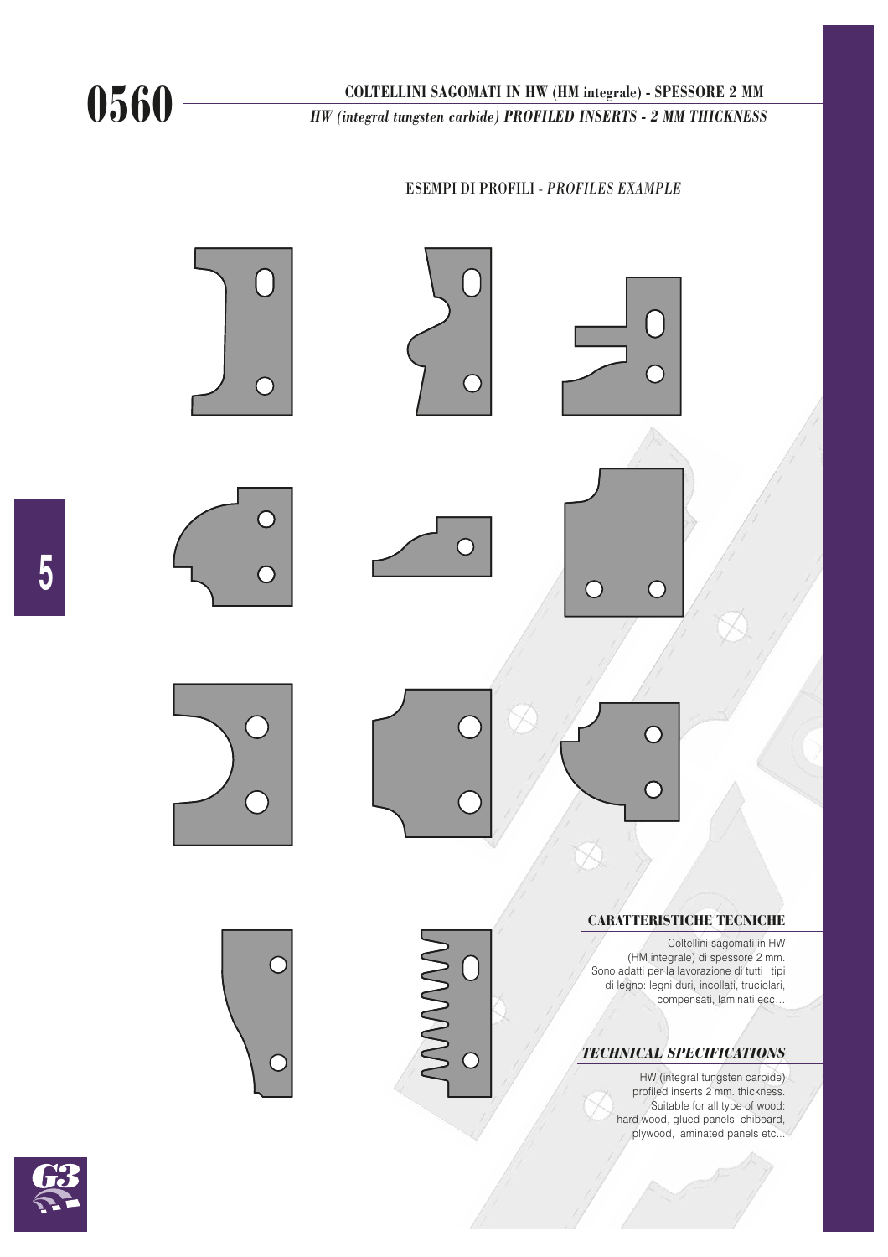COLTELLINI SAGOMATI IN HW (HM integrale) - SPESSORE 2 MM<br> *HW (integral tungsten carbide) PROFILED INSERTS - 2 MM THICKNESS* 

## ESEMPI DI PROFILI - *PROFILES EXAMPLE*